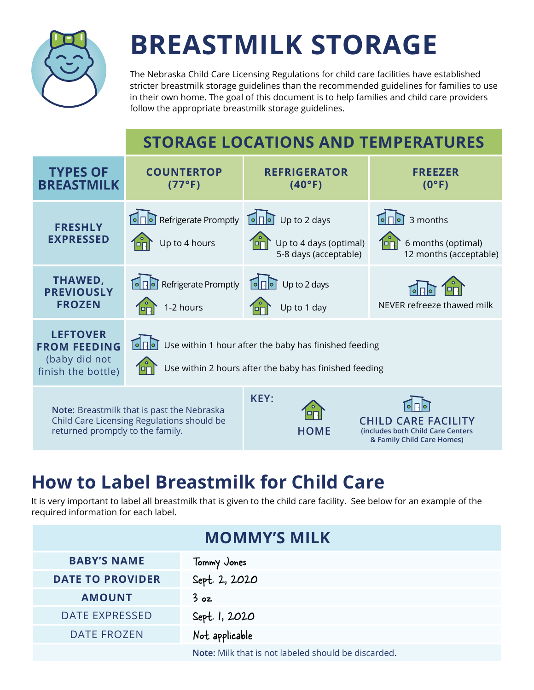

# **BREASTMILK STORAGE**

The Nebraska Child Care Licensing Regulations for child care facilities have established stricter breastmilk storage guidelines than the recommended guidelines for families to use in their own home. The goal of this document is to help families and child care providers follow the appropriate breastmilk storage guidelines.

### **STORAGE LOCATIONS AND TEMPERATURES**



## **How to Label Breastmilk for Child Care**

It is very important to label all breastmilk that is given to the child care facility. See below for an example of the required information for each label.

| <b>MOMMY'S MILK</b>     |                                                     |
|-------------------------|-----------------------------------------------------|
| <b>BABY'S NAME</b>      | Tommy Jones                                         |
| <b>DATE TO PROVIDER</b> | Sept. 2, 2020                                       |
| <b>AMOUNT</b>           | 3 oz                                                |
| <b>DATE EXPRESSED</b>   | Sept. 1, 2020                                       |
| <b>DATE FROZEN</b>      | Not applicable                                      |
|                         | Note: Milk that is not labeled should be discarded. |